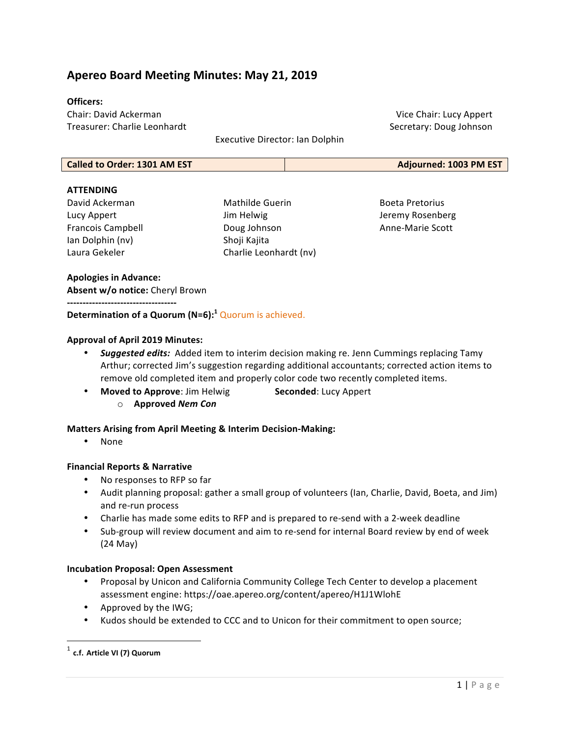# **Apereo Board Meeting Minutes: May 21, 2019**

#### **Officers:**

Chair: David Ackerman Treasurer: Charlie Leonhardt 

Executive Director: Ian Dolphin

#### **Called to Order: 1301 AM EST Adjourned: 1003 PM EST**

#### **ATTENDING**

David Ackerman Lucy Appert Francois Campbell Ian Dolphin (nv) Laura Gekeler 

Mathilde Guerin Jim Helwig Doug Johnson Shoji Kajita Charlie Leonhardt (nv)

Vice Chair: Lucy Appert Secretary: Doug Johnson

Boeta Pretorius Jeremy Rosenberg Anne-Marie Scott 

#### **Apologies in Advance:**

Absent w/o notice: Cheryl Brown

**-----------------------------------**

**Determination of a Quorum (N=6):<sup>1</sup> Quorum is achieved.** 

## **Approval of April 2019 Minutes:**

- *Suggested edits:* Added item to interim decision making re. Jenn Cummings replacing Tamy Arthur; corrected Jim's suggestion regarding additional accountants; corrected action items to remove old completed item and properly color code two recently completed items.
- Moved to Approve: Jim Helwig **Seconded**: Lucy Appert
	- o **Approved** *Nem Con*

#### **Matters Arising from April Meeting & Interim Decision-Making:**

• None

#### **Financial Reports & Narrative**

- No responses to RFP so far
- Audit planning proposal: gather a small group of volunteers (Ian, Charlie, David, Boeta, and Jim) and re-run process
- Charlie has made some edits to RFP and is prepared to re-send with a 2-week deadline
- Sub-group will review document and aim to re-send for internal Board review by end of week (24 May)

#### **Incubation Proposal: Open Assessment**

- Proposal by Unicon and California Community College Tech Center to develop a placement assessment engine: https://oae.apereo.org/content/apereo/H1J1WlohE
- Approved by the IWG;

<u> 1989 - Johann Stein, markin film yn y breninn y breninn y breninn y breninn y breninn y breninn y breninn y b</u>

Kudos should be extended to CCC and to Unicon for their commitment to open source;

<sup>1</sup> **c.f. Article VI (7) Quorum**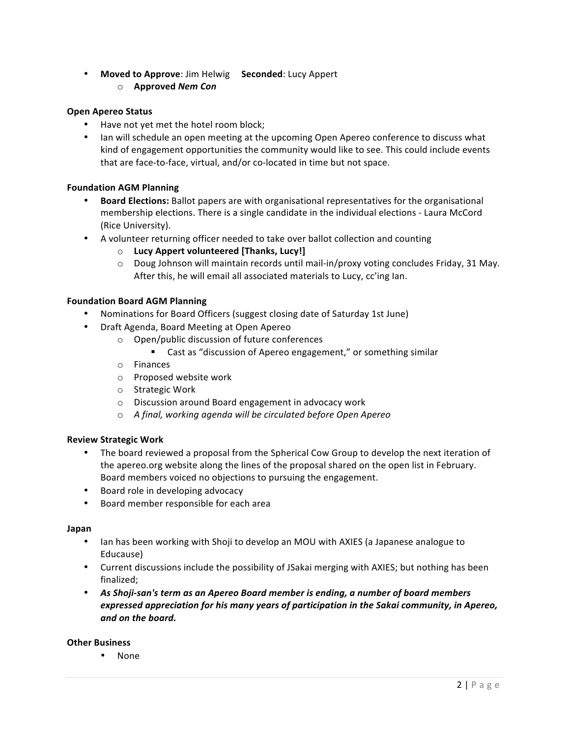- Moved to Approve: Jim Helwig Seconded: Lucy Appert
	- o **Approved** *Nem Con*

## **Open Apereo Status**

- Have not yet met the hotel room block;
- Ian will schedule an open meeting at the upcoming Open Apereo conference to discuss what kind of engagement opportunities the community would like to see. This could include events that are face-to-face, virtual, and/or co-located in time but not space.

## **Foundation AGM Planning**

- **Board Elections:** Ballot papers are with organisational representatives for the organisational membership elections. There is a single candidate in the individual elections - Laura McCord (Rice University).
- A volunteer returning officer needed to take over ballot collection and counting
	- o **Lucy Appert volunteered [Thanks, Lucy!]**
	- $\circ$  Doug Johnson will maintain records until mail-in/proxy voting concludes Friday, 31 May. After this, he will email all associated materials to Lucy, cc'ing lan.

## **Foundation Board AGM Planning**

- Nominations for Board Officers (suggest closing date of Saturday 1st June)
- Draft Agenda, Board Meeting at Open Apereo
	- $\circ$  Open/public discussion of future conferences
		- Cast as "discussion of Apereo engagement," or something similar
	- o Finances
	- o Proposed website work
	- $\circ$  Strategic Work
	- $\circ$  Discussion around Board engagement in advocacy work
	- o *A final, working agenda will be circulated before Open Apereo*

## **Review Strategic Work**

- The board reviewed a proposal from the Spherical Cow Group to develop the next iteration of the apereo.org website along the lines of the proposal shared on the open list in February. Board members voiced no objections to pursuing the engagement.
- Board role in developing advocacy
- Board member responsible for each area

## **Japan**

- Ian has been working with Shoji to develop an MOU with AXIES (a Japanese analogue to Educause)
- Current discussions include the possibility of JSakai merging with AXIES; but nothing has been finalized;
- As Shoji-san's term as an Apereo Board member is ending, a number of board members expressed appreciation for his many years of participation in the Sakai community, in Apereo, *and on the board.*

## **Other Business**

• None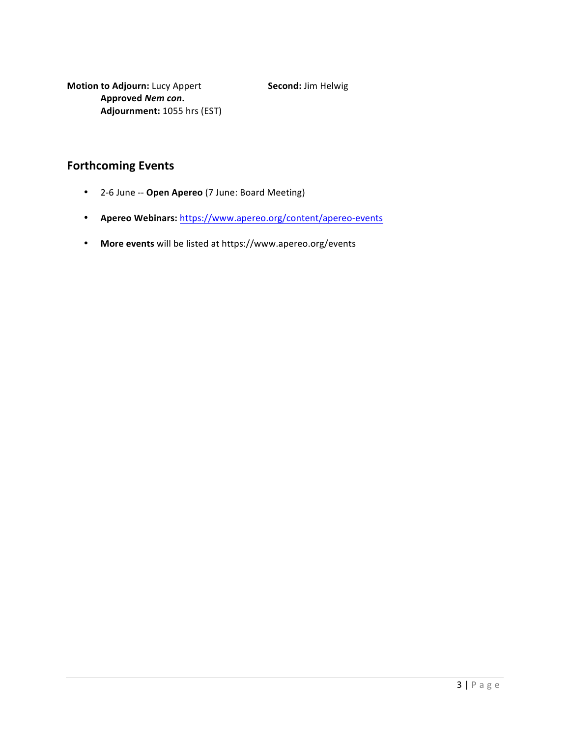**Motion to Adjourn:** Lucy Appert **Second:** Jim Helwig **Approved** *Nem con***. Adjournment:** 1055 hrs (EST)

# **Forthcoming Events**

- 2-6 June -- **Open Apereo** (7 June: Board Meeting)
- **Apereo Webinars:** https://www.apereo.org/content/apereo-events
- More events will be listed at https://www.apereo.org/events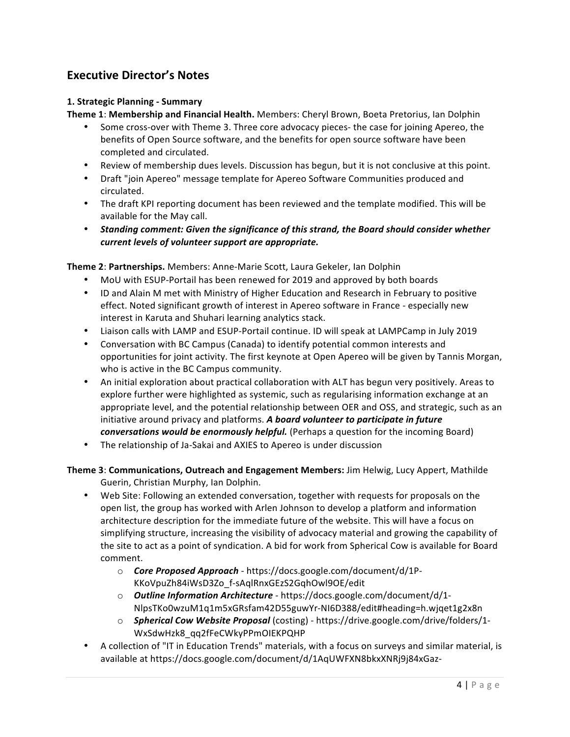# **Executive Director's Notes**

## **1. Strategic Planning - Summary**

**Theme 1: Membership and Financial Health.** Members: Cheryl Brown, Boeta Pretorius, Ian Dolphin

- Some cross-over with Theme 3. Three core advocacy pieces- the case for joining Apereo, the benefits of Open Source software, and the benefits for open source software have been completed and circulated.
- Review of membership dues levels. Discussion has begun, but it is not conclusive at this point.
- Draft "join Apereo" message template for Apereo Software Communities produced and circulated.
- The draft KPI reporting document has been reviewed and the template modified. This will be available for the May call.
- Standing comment: Given the significance of this strand, the Board should consider whether *current levels of volunteer support are appropriate.*

**Theme 2: Partnerships.** Members: Anne-Marie Scott, Laura Gekeler, Ian Dolphin

- MoU with ESUP-Portail has been renewed for 2019 and approved by both boards
- ID and Alain M met with Ministry of Higher Education and Research in February to positive effect. Noted significant growth of interest in Apereo software in France - especially new interest in Karuta and Shuhari learning analytics stack.
- Liaison calls with LAMP and ESUP-Portail continue. ID will speak at LAMPCamp in July 2019
- Conversation with BC Campus (Canada) to identify potential common interests and opportunities for joint activity. The first keynote at Open Apereo will be given by Tannis Morgan, who is active in the BC Campus community.
- An initial exploration about practical collaboration with ALT has begun very positively. Areas to explore further were highlighted as systemic, such as regularising information exchange at an appropriate level, and the potential relationship between OER and OSS, and strategic, such as an initiative around privacy and platforms. A board volunteer to participate in future *conversations would be enormously helpful.* (Perhaps a question for the incoming Board)
- The relationship of Ja-Sakai and AXIES to Apereo is under discussion

**Theme 3**: **Communications, Outreach and Engagement Members:** Jim Helwig, Lucy Appert, Mathilde Guerin, Christian Murphy, Ian Dolphin.

- Web Site: Following an extended conversation, together with requests for proposals on the open list, the group has worked with Arlen Johnson to develop a platform and information architecture description for the immediate future of the website. This will have a focus on simplifying structure, increasing the visibility of advocacy material and growing the capability of the site to act as a point of syndication. A bid for work from Spherical Cow is available for Board comment.
	- o **Core Proposed Approach** https://docs.google.com/document/d/1P-KKoVpuZh84iWsD3Zo\_f-sAqlRnxGEzS2GqhOwl9OE/edit
	- o *Outline Information Architecture* https://docs.google.com/document/d/1-NlpsTKo0wzuM1q1m5xGRsfam42D55guwYr-NI6D388/edit#heading=h.wjqet1g2x8n
	- o **Spherical Cow Website Proposal** (costing) https://drive.google.com/drive/folders/1-WxSdwHzk8\_qq2fFeCWkyPPmOIEKPQHP
- A collection of "IT in Education Trends" materials, with a focus on surveys and similar material, is available at https://docs.google.com/document/d/1AqUWFXN8bkxXNRj9j84xGaz-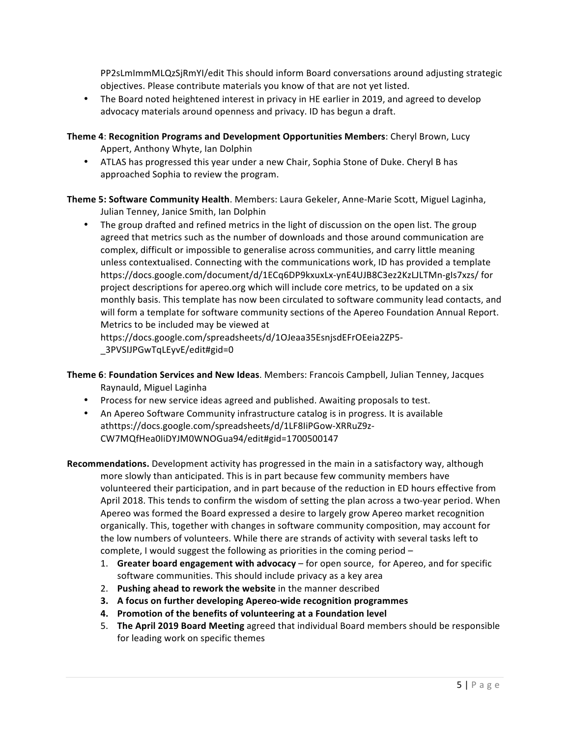PP2sLmImmMLQzSjRmYI/edit This should inform Board conversations around adjusting strategic objectives. Please contribute materials you know of that are not yet listed.

• The Board noted heightened interest in privacy in HE earlier in 2019, and agreed to develop advocacy materials around openness and privacy. ID has begun a draft.

**Theme 4: Recognition Programs and Development Opportunities Members:** Cheryl Brown, Lucy Appert, Anthony Whyte, Ian Dolphin

• ATLAS has progressed this year under a new Chair, Sophia Stone of Duke. Cheryl B has approached Sophia to review the program.

Theme 5: Software Community Health. Members: Laura Gekeler, Anne-Marie Scott, Miguel Laginha, Julian Tenney, Janice Smith, Ian Dolphin

• The group drafted and refined metrics in the light of discussion on the open list. The group agreed that metrics such as the number of downloads and those around communication are complex, difficult or impossible to generalise across communities, and carry little meaning unless contextualised. Connecting with the communications work, ID has provided a template https://docs.google.com/document/d/1ECq6DP9kxuxLx-ynE4UJB8C3ez2KzLJLTMn-gIs7xzs/ for project descriptions for apereo.org which will include core metrics, to be updated on a six monthly basis. This template has now been circulated to software community lead contacts, and will form a template for software community sections of the Apereo Foundation Annual Report. Metrics to be included may be viewed at https://docs.google.com/spreadsheets/d/1OJeaa35EsnjsdEFrOEeia2ZP5-

\_3PVSIJPGwTqLEyvE/edit#gid=0 

- **Theme 6: Foundation Services and New Ideas.** Members: Francois Campbell, Julian Tenney, Jacques Raynauld, Miguel Laginha
	- Process for new service ideas agreed and published. Awaiting proposals to test.
	- An Apereo Software Community infrastructure catalog is in progress. It is available athttps://docs.google.com/spreadsheets/d/1LF8IiPGow-XRRuZ9z-CW7MQfHea0IiDYJM0WNOGua94/edit#gid=1700500147
- **Recommendations.** Development activity has progressed in the main in a satisfactory way, although more slowly than anticipated. This is in part because few community members have volunteered their participation, and in part because of the reduction in ED hours effective from April 2018. This tends to confirm the wisdom of setting the plan across a two-year period. When Apereo was formed the Board expressed a desire to largely grow Apereo market recognition organically. This, together with changes in software community composition, may account for the low numbers of volunteers. While there are strands of activity with several tasks left to complete, I would suggest the following as priorities in the coming period  $-$ 
	- 1. Greater board engagement with advocacy for open source, for Apereo, and for specific software communities. This should include privacy as a key area
	- 2. Pushing ahead to rework the website in the manner described
	- **3.** A focus on further developing Apereo-wide recognition programmes
	- **4.** Promotion of the benefits of volunteering at a Foundation level
	- 5. **The April 2019 Board Meeting** agreed that individual Board members should be responsible for leading work on specific themes